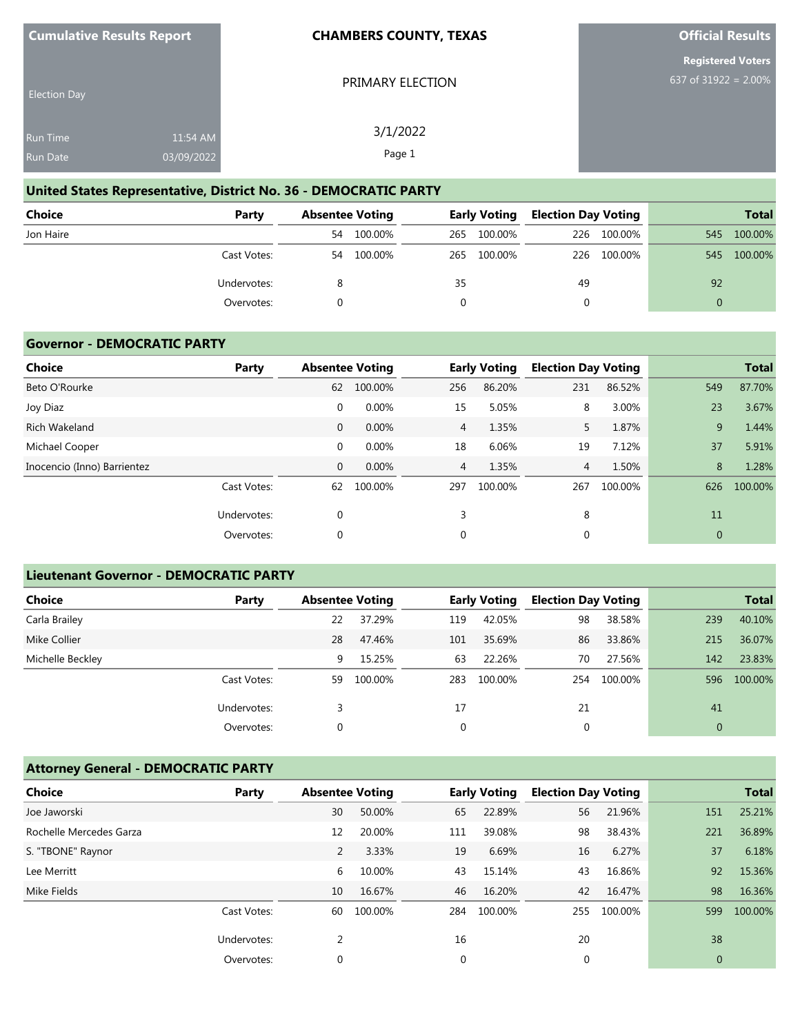| <b>Cumulative Results Report</b> |  |  |
|----------------------------------|--|--|
|----------------------------------|--|--|

PRIMARY ELECTION

**Official Results**

**Registered Voters** 637 of 31922 = 2.00%

| <b>Election Day</b> |            |  |
|---------------------|------------|--|
| <b>Run Time</b>     | 11:54 AM   |  |
| Run Date            | 03/09/2022 |  |

3/1/2022 Page 1

## **United States Representative, District No. 36 - DEMOCRATIC PARTY**

| Choice    | Party       | <b>Absentee Voting</b> |         | <b>Early Voting</b> |         | <b>Election Day Voting</b> |             |          | <b>Total</b> |
|-----------|-------------|------------------------|---------|---------------------|---------|----------------------------|-------------|----------|--------------|
| Jon Haire |             | 54                     | 100.00% | 265                 | 100.00% |                            | 226 100.00% | 545      | 100.00%      |
|           | Cast Votes: | 54                     | 100.00% | 265                 | 100.00% | 226                        | 100.00%     | 545      | 100.00%      |
|           | Undervotes: |                        |         | 35                  |         | 49                         |             | 92       |              |
|           | Overvotes:  |                        |         |                     |         |                            |             | $\Omega$ |              |

#### **Governor - DEMOCRATIC PARTY**

| Choice                      | Party       |              | <b>Absentee Voting</b> |                | <b>Early Voting</b> | <b>Election Day Voting</b> |         |     | <b>Total</b> |
|-----------------------------|-------------|--------------|------------------------|----------------|---------------------|----------------------------|---------|-----|--------------|
| Beto O'Rourke               |             | 62           | 100.00%                | 256            | 86.20%              | 231                        | 86.52%  | 549 | 87.70%       |
| Joy Diaz                    |             | $\mathbf 0$  | 0.00%                  | 15             | 5.05%               | 8                          | 3.00%   | 23  | 3.67%        |
| <b>Rich Wakeland</b>        |             | $\mathbf{0}$ | 0.00%                  | $\overline{4}$ | 1.35%               | 5.                         | 1.87%   | 9   | 1.44%        |
| Michael Cooper              |             | $\mathbf 0$  | 0.00%                  | 18             | 6.06%               | 19                         | 7.12%   | 37  | 5.91%        |
| Inocencio (Inno) Barrientez |             | $\mathbf{0}$ | 0.00%                  | $\overline{4}$ | 1.35%               | $\overline{4}$             | 1.50%   | 8   | 1.28%        |
|                             | Cast Votes: | 62           | 100.00%                | 297            | 100.00%             | 267                        | 100.00% | 626 | 100.00%      |
|                             | Undervotes: | $\mathbf 0$  |                        | 3              |                     | 8                          |         | 11  |              |
|                             | Overvotes:  | $\mathbf 0$  |                        | 0              |                     | 0                          |         | 0   |              |

### **Lieutenant Governor - DEMOCRATIC PARTY**

| <b>Choice</b>    | Party       | <b>Absentee Voting</b> |         |     | <b>Early Voting</b> | <b>Election Day Voting</b> |         |              | <b>Total</b> |
|------------------|-------------|------------------------|---------|-----|---------------------|----------------------------|---------|--------------|--------------|
| Carla Brailey    |             | 22                     | 37.29%  | 119 | 42.05%              | 98                         | 38.58%  | 239          | 40.10%       |
| Mike Collier     |             | 28                     | 47.46%  | 101 | 35.69%              | 86                         | 33.86%  | 215          | 36.07%       |
| Michelle Beckley |             | 9                      | 15.25%  | 63  | 22.26%              | 70                         | 27.56%  | 142          | 23.83%       |
|                  | Cast Votes: | 59                     | 100.00% | 283 | 100.00%             | 254                        | 100.00% | 596          | 100.00%      |
|                  | Undervotes: |                        |         | 17  |                     | 21                         |         | 41           |              |
|                  | Overvotes:  |                        |         | 0   |                     | 0                          |         | $\mathbf{0}$ |              |

# **Attorney General - DEMOCRATIC PARTY**

| Choice                  | Party       | <b>Absentee Voting</b> |         |              | <b>Early Voting</b> | <b>Election Day Voting</b> |         |             | <b>Total</b> |
|-------------------------|-------------|------------------------|---------|--------------|---------------------|----------------------------|---------|-------------|--------------|
| Joe Jaworski            |             | 30                     | 50.00%  | 65           | 22.89%              | 56                         | 21.96%  | 151         | 25.21%       |
| Rochelle Mercedes Garza |             | 12                     | 20.00%  | 111          | 39.08%              | 98                         | 38.43%  | 221         | 36.89%       |
| S. "TBONE" Raynor       |             | 2                      | 3.33%   | 19           | 6.69%               | 16                         | 6.27%   | 37          | 6.18%        |
| Lee Merritt             |             | 6                      | 10.00%  | 43           | 15.14%              | 43                         | 16.86%  | 92          | 15.36%       |
| Mike Fields             |             | 10                     | 16.67%  | 46           | 16.20%              | 42                         | 16.47%  | 98          | 16.36%       |
|                         | Cast Votes: | 60                     | 100.00% | 284          | 100.00%             | 255                        | 100.00% | 599         | 100.00%      |
|                         | Undervotes: | 2                      |         | 16           |                     | 20                         |         | 38          |              |
|                         | Overvotes:  | 0                      |         | $\mathbf{0}$ |                     | $\mathbf 0$                |         | $\mathbf 0$ |              |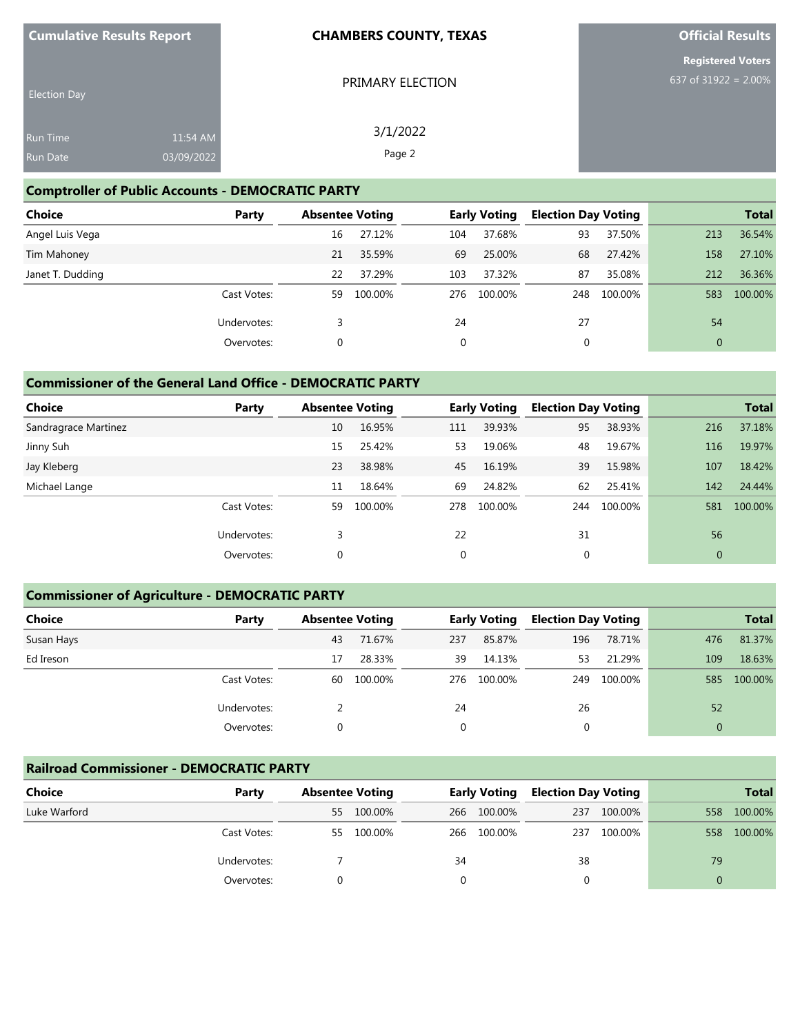| <b>Cumulative Results Report</b> |  |  |
|----------------------------------|--|--|
|----------------------------------|--|--|

PRIMARY ELECTION

3/1/2022 Page 2

**Official Results**

**Registered Voters** 637 of 31922 = 2.00%

| <b>Election Day</b> |            |  |
|---------------------|------------|--|
| <b>Run Time</b>     | 11:54 AM   |  |
| Run Date            | 03/09/2022 |  |

## **Comptroller of Public Accounts - DEMOCRATIC PARTY**

| <b>Choice</b>    | Party       | <b>Absentee Voting</b> |         |              | <b>Early Voting</b> | <b>Election Day Voting</b> |         |              | <b>Total</b> |
|------------------|-------------|------------------------|---------|--------------|---------------------|----------------------------|---------|--------------|--------------|
| Angel Luis Vega  |             | 16                     | 27.12%  | 104          | 37.68%              | 93                         | 37.50%  | 213          | 36.54%       |
| Tim Mahoney      |             | 21                     | 35.59%  | 69           | 25.00%              | 68                         | 27.42%  | 158          | 27.10%       |
| Janet T. Dudding |             | 22                     | 37.29%  | 103          | 37.32%              | 87                         | 35.08%  | 212          | 36.36%       |
|                  | Cast Votes: | 59                     | 100.00% | 276          | 100.00%             | 248                        | 100.00% | 583          | 100.00%      |
|                  | Undervotes: |                        |         | 24           |                     | 27                         |         | 54           |              |
|                  | Overvotes:  | 0                      |         | $\mathbf{0}$ |                     | 0                          |         | $\mathbf{0}$ |              |

### **Commissioner of the General Land Office - DEMOCRATIC PARTY**

| <b>Choice</b>        | Party       | <b>Absentee Voting</b> |         |              | <b>Early Voting</b> | <b>Election Day Voting</b> |         |              | <b>Total</b> |
|----------------------|-------------|------------------------|---------|--------------|---------------------|----------------------------|---------|--------------|--------------|
| Sandragrace Martinez |             | 10                     | 16.95%  | 111          | 39.93%              | 95                         | 38.93%  | 216          | 37.18%       |
| Jinny Suh            |             | 15                     | 25.42%  | 53           | 19.06%              | 48                         | 19.67%  | 116          | 19.97%       |
| Jay Kleberg          |             | 23                     | 38.98%  | 45           | 16.19%              | 39                         | 15.98%  | 107          | 18.42%       |
| Michael Lange        |             | 11                     | 18.64%  | 69           | 24.82%              | 62                         | 25.41%  | 142          | 24.44%       |
|                      | Cast Votes: | 59                     | 100.00% | 278          | 100.00%             | 244                        | 100.00% | 581          | 100.00%      |
|                      | Undervotes: | 3                      |         | 22           |                     | 31                         |         | 56           |              |
|                      | Overvotes:  | 0                      |         | $\mathbf{0}$ |                     | 0                          |         | $\mathbf{0}$ |              |

## **Commissioner of Agriculture - DEMOCRATIC PARTY**

| <b>Choice</b> | Party       | <b>Absentee Voting</b> |         | <b>Early Voting</b> |         | <b>Election Day Voting</b> |         | <b>Total</b> |         |
|---------------|-------------|------------------------|---------|---------------------|---------|----------------------------|---------|--------------|---------|
| Susan Hays    |             | 43                     | 71.67%  | 237                 | 85.87%  | 196                        | 78.71%  | 476          | 81.37%  |
| Ed Ireson     |             | 17                     | 28.33%  | 39                  | 14.13%  | 53                         | 21.29%  | 109          | 18.63%  |
|               | Cast Votes: | 60                     | 100.00% | 276                 | 100.00% | 249                        | 100.00% | 585          | 100.00% |
|               | Undervotes: |                        |         | 24                  |         | 26                         |         | 52           |         |
|               | Overvotes:  |                        |         | 0                   |         | 0                          |         | $\mathbf{0}$ |         |

## **Railroad Commissioner - DEMOCRATIC PARTY**

| <b>Choice</b> | Party       | <b>Absentee Voting</b> |            | <b>Early Voting</b> |             | <b>Election Day Voting</b> |         | <b>Total</b> |         |
|---------------|-------------|------------------------|------------|---------------------|-------------|----------------------------|---------|--------------|---------|
| Luke Warford  |             | 55                     | 100.00%    | 266                 | 100.00%     | 237                        | 100.00% | 558          | 100.00% |
|               | Cast Votes: |                        | 55 100.00% |                     | 266 100.00% | 237                        | 100.00% | 558          | 100.00% |
|               | Undervotes: |                        |            | 34                  |             | 38                         |         | 79           |         |
|               | Overvotes:  |                        |            |                     |             |                            |         | 0            |         |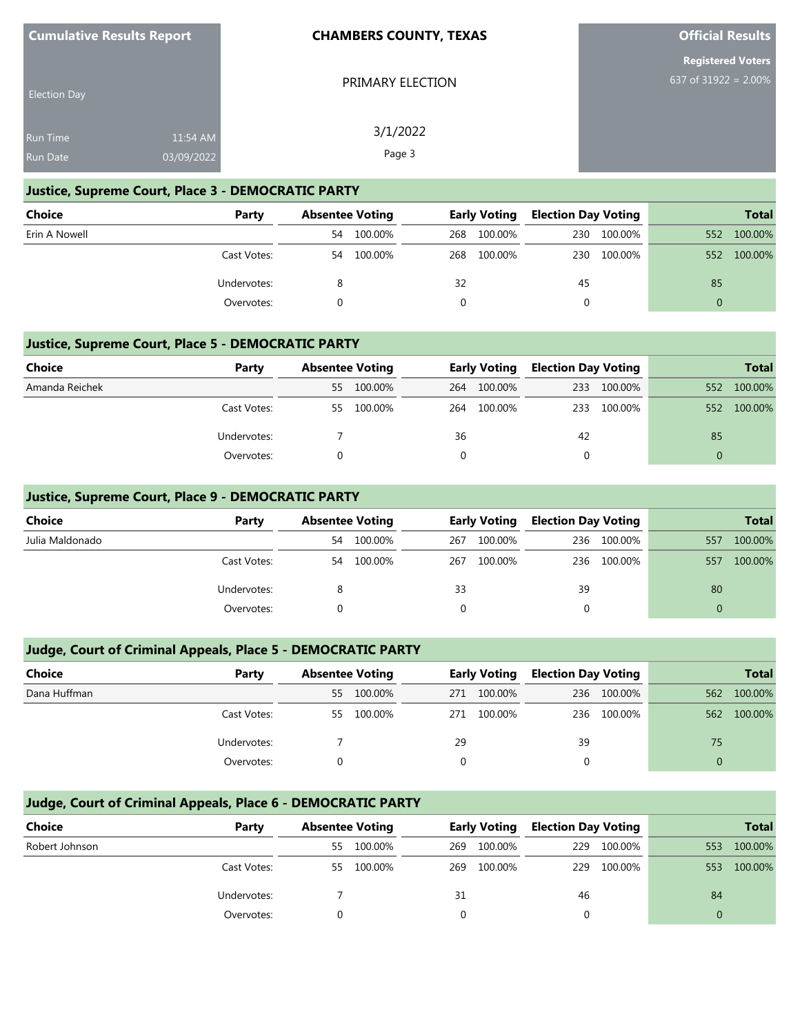PRIMARY ELECTION

3/1/2022 Page 3

**Official Results**

**Registered Voters** 637 of 31922 = 2.00%

| <b>Election Day</b> |            |  |
|---------------------|------------|--|
| <b>Run Time</b>     | 11:54 AM   |  |
| <b>Run Date</b>     | 03/09/2022 |  |

### **Justice, Supreme Court, Place 3 - DEMOCRATIC PARTY**

| <b>Choice</b> | Party       | <b>Absentee Voting</b> |         | <b>Early Voting</b> |             | <b>Election Day Voting</b> |         | <b>Total</b> |         |
|---------------|-------------|------------------------|---------|---------------------|-------------|----------------------------|---------|--------------|---------|
| Erin A Nowell |             | 54                     | 100.00% |                     | 268 100.00% | 230                        | 100.00% | 552          | 100.00% |
|               | Cast Votes: | 54                     | 100.00% |                     | 268 100.00% | 230                        | 100.00% | 552          | 100.00% |
|               | Undervotes: |                        |         | 32                  |             | 45                         |         | 85           |         |
|               | Overvotes:  |                        |         | 0                   |             | 0                          |         | $\Omega$     |         |

# **Justice, Supreme Court, Place 5 - DEMOCRATIC PARTY**

| <b>Choice</b>  | Party       | <b>Absentee Voting</b> |         |     | <b>Early Voting</b> |    | <b>Election Day Voting</b> |     | <b>Total</b> |
|----------------|-------------|------------------------|---------|-----|---------------------|----|----------------------------|-----|--------------|
| Amanda Reichek |             | 55                     | 100.00% |     | 264 100.00%         |    | 233 100.00%                | 552 | 100.00%      |
|                | Cast Votes: | 55                     | 100.00% | 264 | 100.00%             |    | 233 100.00%                | 552 | 100.00%      |
|                | Undervotes: |                        |         | 36  |                     | 42 |                            | 85  |              |
|                | Overvotes:  |                        |         |     |                     | 0  |                            | 0   |              |

# **Justice, Supreme Court, Place 9 - DEMOCRATIC PARTY**

| <b>Choice</b>   | Party       | <b>Absentee Voting</b> |         | <b>Early Voting</b> |         | <b>Election Day Voting</b> |         | <b>Total</b> |         |
|-----------------|-------------|------------------------|---------|---------------------|---------|----------------------------|---------|--------------|---------|
| Julia Maldonado |             | 54                     | 100.00% | 267                 | 100.00% | 236                        | 100.00% | 557          | 100.00% |
|                 | Cast Votes: | 54                     | 100.00% | 267                 | 100.00% | 236                        | 100.00% | 557          | 100.00% |
|                 | Undervotes: |                        |         | 33                  |         | 39                         |         | 80           |         |
|                 | Overvotes:  |                        |         |                     |         |                            |         | $\Omega$     |         |

# **Judge, Court of Criminal Appeals, Place 5 - DEMOCRATIC PARTY**

| Choice       | Party       | <b>Absentee Voting</b> |         | <b>Early Voting</b> |         | <b>Election Day Voting</b> |         |          | <b>Total</b> |
|--------------|-------------|------------------------|---------|---------------------|---------|----------------------------|---------|----------|--------------|
| Dana Huffman |             | 55                     | 100.00% | 271                 | 100.00% | 236                        | 100.00% | 562      | 100.00%      |
|              | Cast Votes: | 55                     | 100.00% | 271                 | 100.00% | 236                        | 100.00% | 562      | 100.00%      |
|              | Undervotes: |                        |         | 29                  |         | 39                         |         | 75       |              |
|              | Overvotes:  |                        |         |                     |         |                            |         | $\Omega$ |              |

# **Judge, Court of Criminal Appeals, Place 6 - DEMOCRATIC PARTY**

| <b>Choice</b>  | Party       | <b>Absentee Voting</b> |         | <b>Early Voting</b> |         | <b>Election Day Voting</b> |         |     | <b>Total</b> |
|----------------|-------------|------------------------|---------|---------------------|---------|----------------------------|---------|-----|--------------|
| Robert Johnson |             | 55                     | 100.00% | 269                 | 100.00% | 229                        | 100.00% | 553 | 100.00%      |
|                | Cast Votes: | 55                     | 100.00% | 269                 | 100.00% | 229                        | 100.00% | 553 | 100.00%      |
|                | Undervotes: |                        |         | 31                  |         | 46                         |         | 84  |              |
|                | Overvotes:  |                        |         |                     |         |                            |         |     |              |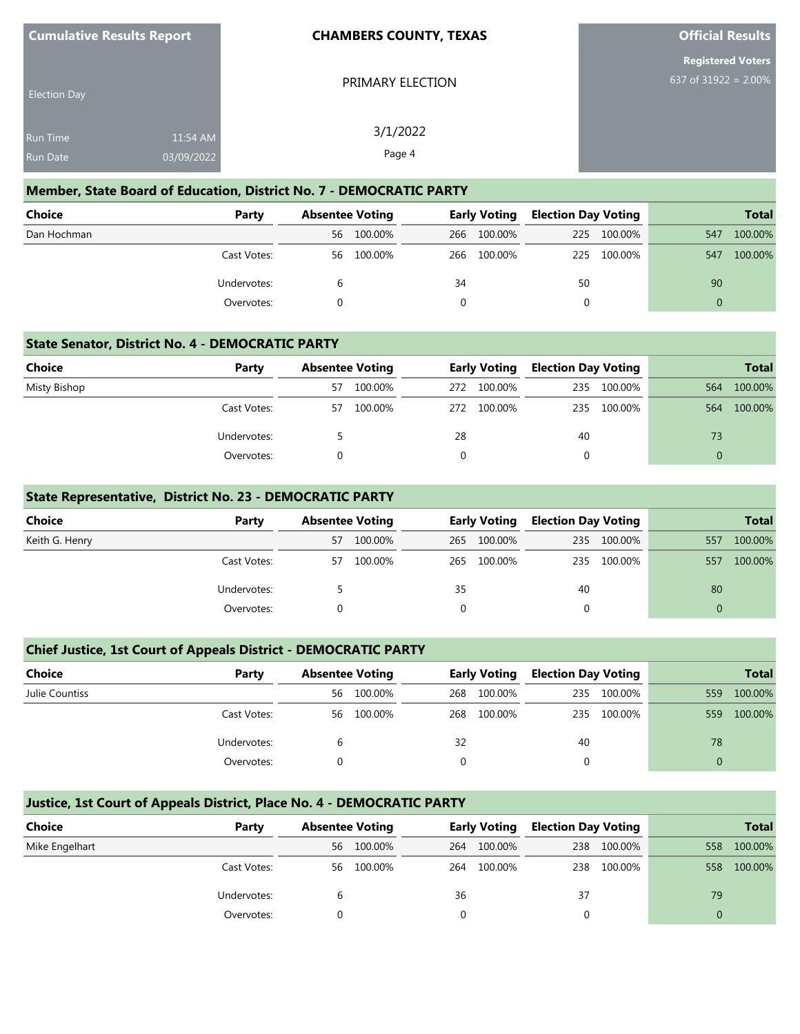| <b>Cumulative Results Report</b> |  |
|----------------------------------|--|
|----------------------------------|--|

**Official Results**

|                                    | <b>Registered Voters</b> |  |  |
|------------------------------------|--------------------------|--|--|
| 637 of $319\overline{22} = 2.00\%$ |                          |  |  |

|  | PRIMARY ELECTION |
|--|------------------|
|--|------------------|

| <b>Election Day</b> |            |  |
|---------------------|------------|--|
| <b>Run Time</b>     | 11:54 AM   |  |
| <b>Run Date</b>     | 03/09/2022 |  |

3/1/2022 Page 4

#### **Member, State Board of Education, District No. 7 - DEMOCRATIC PARTY**

| <b>Choice</b> | Party       | <b>Absentee Voting</b> |         | <b>Early Voting</b> |             | <b>Election Day Voting</b> |             |          | <b>Total</b> |
|---------------|-------------|------------------------|---------|---------------------|-------------|----------------------------|-------------|----------|--------------|
| Dan Hochman   |             | 56                     | 100.00% |                     | 266 100.00% |                            | 225 100.00% | 547      | 100.00%      |
|               | Cast Votes: | 56                     | 100.00% |                     | 266 100.00% |                            | 225 100.00% | 547      | 100.00%      |
|               | Undervotes: |                        |         | 34                  |             | 50                         |             | 90       |              |
|               | Overvotes:  |                        |         |                     |             | 0                          |             | $\Omega$ |              |

#### **State Senator, District No. 4 - DEMOCRATIC PARTY**

| Choice       | Party       | <b>Absentee Voting</b> |         | <b>Early Voting</b> |             | <b>Election Day Voting</b> |         |          | <b>Total</b> |
|--------------|-------------|------------------------|---------|---------------------|-------------|----------------------------|---------|----------|--------------|
| Misty Bishop |             | 57                     | 100.00% | 272                 | 100.00%     | 235                        | 100.00% | 564      | 100.00%      |
|              | Cast Votes: | 57                     | 100.00% |                     | 272 100.00% | 235                        | 100.00% | 564      | 100.00%      |
|              | Undervotes: |                        |         | 28                  |             | 40                         |         | 73       |              |
|              | Overvotes:  |                        |         |                     |             |                            |         | $\Omega$ |              |

## **State Representative, District No. 23 - DEMOCRATIC PARTY**

| <b>Choice</b>  | Party       | <b>Absentee Voting</b> |         | <b>Early Voting</b> |         | <b>Election Day Voting</b> |             |          | <b>Total</b> |
|----------------|-------------|------------------------|---------|---------------------|---------|----------------------------|-------------|----------|--------------|
| Keith G. Henry |             | 57                     | 100.00% | 265                 | 100.00% |                            | 235 100.00% | 557      | 100.00%      |
|                | Cast Votes: | 57                     | 100.00% | 265                 | 100.00% |                            | 235 100.00% | 557      | 100.00%      |
|                | Undervotes: |                        |         | 35                  |         | 40                         |             | 80       |              |
|                | Overvotes:  |                        |         | $\Omega$            |         | 0                          |             | $\Omega$ |              |

## **Chief Justice, 1st Court of Appeals District - DEMOCRATIC PARTY**

| Choice         | Party       | <b>Absentee Voting</b> |         | <b>Early Voting</b> |         | <b>Election Day Voting</b> |         |     | <b>Total</b> |
|----------------|-------------|------------------------|---------|---------------------|---------|----------------------------|---------|-----|--------------|
| Julie Countiss |             | 56                     | 100.00% | 268                 | 100.00% | 235                        | 100.00% | 559 | 100.00%      |
|                | Cast Votes: | 56                     | 100.00% | 268                 | 100.00% | 235                        | 100.00% | 559 | 100.00%      |
|                | Undervotes: |                        |         | 32                  |         | 40                         |         | 78  |              |
|                | Overvotes:  |                        |         |                     |         |                            |         | 0   |              |

## **Justice, 1st Court of Appeals District, Place No. 4 - DEMOCRATIC PARTY**

| Choice         | Party       | <b>Absentee Voting</b> |         | <b>Early Voting</b> |         | <b>Election Day Voting</b> |             |     | <b>Total</b> |
|----------------|-------------|------------------------|---------|---------------------|---------|----------------------------|-------------|-----|--------------|
| Mike Engelhart |             | 56                     | 100.00% | 264                 | 100.00% | 238                        | 100.00%     | 558 | 100.00%      |
|                | Cast Votes: | 56                     | 100.00% | 264                 | 100.00% |                            | 238 100.00% | 558 | 100.00%      |
|                | Undervotes: | 6                      |         | 36                  |         | 37                         |             | 79  |              |
|                | Overvotes:  |                        |         |                     |         |                            |             |     |              |